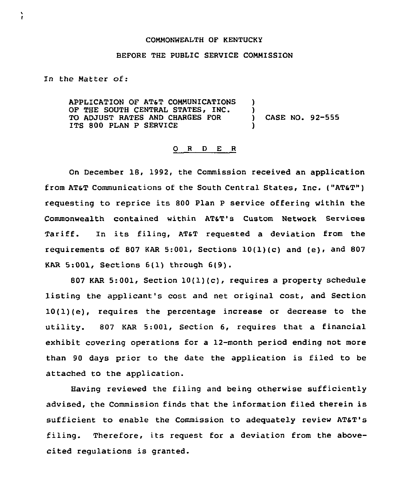## COMMONWEALTH OF KENTUCKY

## BEFORE THE PUBLIC SERVICE COMMISSION

In the Matter of:

AppLICATIQN QF ATST COMMUNIcATIQNS OF THE SOUTH CENTRAL STATES, INC. TO ADJUST RATES AND CHARGES FOR ITS 800 PLAN P SERVICE ) ) ) CASE NO. 92-555 )

## 0 <sup>R</sup> <sup>D</sup> E R

On December 18, 1992, the Commission received an application from ATST communications of the South central states, Inc. ("ATaT") requesting to reprice its 800 Plan <sup>P</sup> service offering within the Commonwealth contained within AT&T's Custom Network Services Tariff. In its filing, AT&T requested a deviation from the requirements of 807 KAR 5:001, Sections  $10(1)(c)$  and  $(e)$ , and 807 KAR 5:001, Sections 6(1) through 6(9).

807 KAR 5:001, Section 10(1)(c), requires a property schedule listing the applicant's cost and net original cost, and Section 10(1)(e), requires the percentage increase or decrease to the utility. 807 KAR 5:001, Section 6, requires that a financial exhibit covering operations for a 12-month period ending not more than 90 days prior to the date the application is filed to be attached to the application.

Having reviewed the filing and being otherwise sufficiently advised, the Commission finds that the information filed therein is sufficient to enable the Commission to adequately review ATaT's filing. Therefore, its request for <sup>a</sup> deviation from the abovecited regulations is granted.